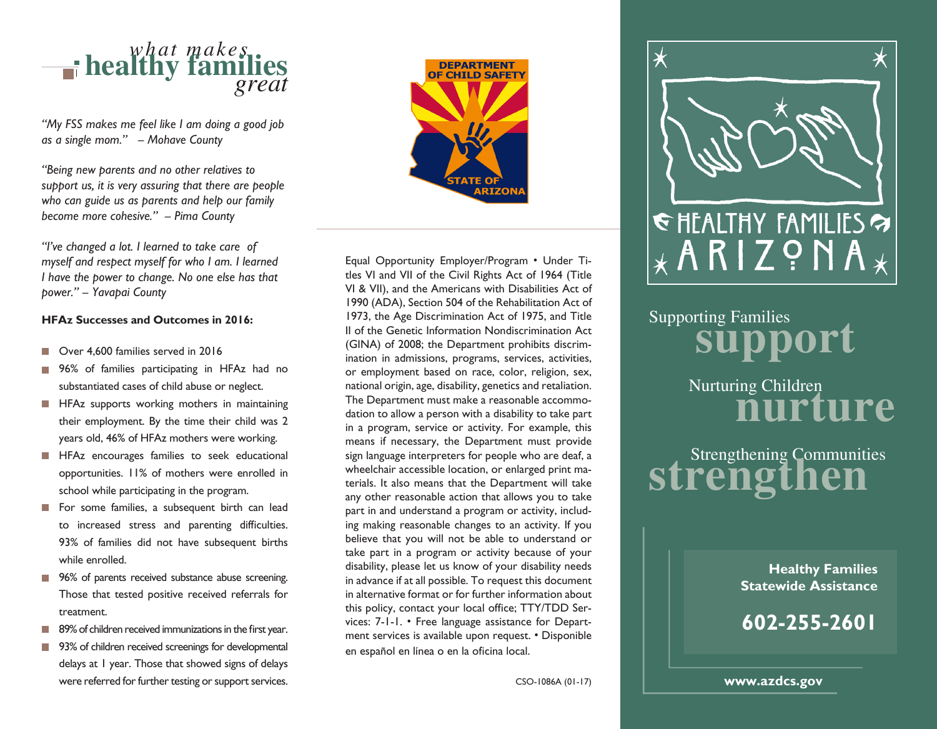

*"My FSS makes me feel like I am doing a good job as a single mom." – Mohave County*

*"Being new parents and no other relatives to support us, it is very assuring that there are people who can guide us as parents and help our family become more cohesive." – Pima County*

*"I've changed a lot. I learned to take care of myself and respect myself for who I am. I learned I have the power to change. No one else has that power." – Yavapai County*

#### **HFAz Successes and Outcomes in 2016:**

- Over 4,600 families served in 2016
- 96% of families participating in HFAz had no  $\mathcal{L}^{\mathcal{A}}$ substantiated cases of child abuse or neglect.
- **HFAz** supports working mothers in maintaining their employment. By the time their child was 2 years old, 46% of HFAz mothers were working.
- **HFAz** encourages families to seek educational opportunities. 11% of mothers were enrolled in school while participating in the program.
- For some families, a subsequent birth can lead to increased stress and parenting difficulties. 93% of families did not have subsequent births while enrolled.
- 96% of parents received substance abuse screening. Those that tested positive received referrals for treatment.
- $\blacksquare$  89% of children received immunizations in the first year.
- 93% of children received screenings for developmental delays at 1 year. Those that showed signs of delays were referred for further testing or support services.



Equal Opportunity Employer/Program • Under Titles VI and VII of the Civil Rights Act of 1964 (Title VI & VII), and the Americans with Disabilities Act of 1990 (ADA), Section 504 of the Rehabilitation Act of 1973, the Age Discrimination Act of 1975, and Title II of the Genetic Information Nondiscrimination Act (GINA) of 2008; the Department prohibits discrimination in admissions, programs, services, activities, or employment based on race, color, religion, sex, national origin, age, disability, genetics and retaliation. The Department must make a reasonable accommodation to allow a person with a disability to take part in a program, service or activity. For example, this means if necessary, the Department must provide sign language interpreters for people who are deaf, a wheelchair accessible location, or enlarged print materials. It also means that the Department will take any other reasonable action that allows you to take part in and understand a program or activity, including making reasonable changes to an activity. If you believe that you will not be able to understand or take part in a program or activity because of your disability, please let us know of your disability needs in advance if at all possible. To request this document in alternative format or for further information about this policy, contact your local office; TTY/TDD Services: 7-1-1. • Free language assistance for Department services is available upon request. • Disponible en español en línea o en la oficina local.



# Supporting Families **support**

Nurturing Children **nurture**

Strengthening Communities<br> **Strengthen** 

**Healthy Families Statewide Assistance**